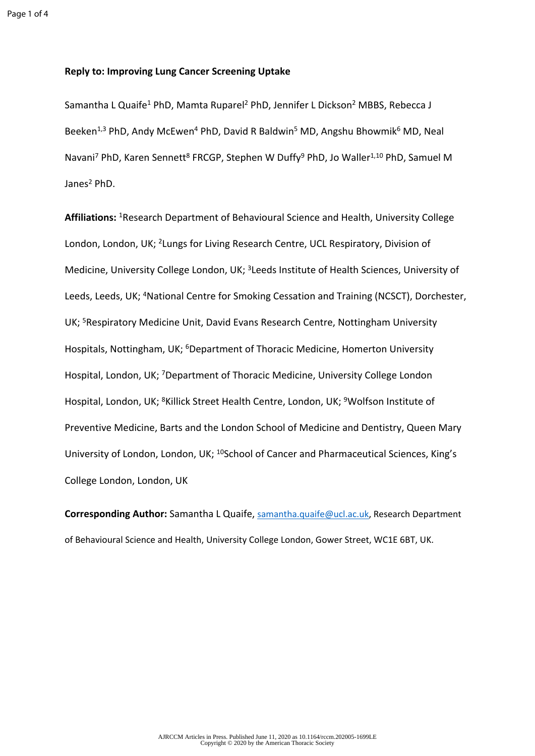## **Reply to: Improving Lung Cancer Screening Uptake**

Samantha L Quaife<sup>1</sup> PhD, Mamta Ruparel<sup>2</sup> PhD, Jennifer L Dickson<sup>2</sup> MBBS, Rebecca J Beeken<sup>1,3</sup> PhD, Andy McEwen<sup>4</sup> PhD, David R Baldwin<sup>5</sup> MD, Angshu Bhowmik<sup>6</sup> MD, Neal Navani<sup>7</sup> PhD, Karen Sennett<sup>8</sup> FRCGP, Stephen W Duffy<sup>9</sup> PhD, Jo Waller<sup>1,10</sup> PhD, Samuel M Janes<sup>2</sup> PhD.

**Affiliations:** <sup>1</sup>Research Department of Behavioural Science and Health, University College London, London, UK; <sup>2</sup>Lungs for Living Research Centre, UCL Respiratory, Division of Medicine, University College London, UK; <sup>3</sup>Leeds Institute of Health Sciences, University of Leeds, Leeds, UK; <sup>4</sup>National Centre for Smoking Cessation and Training (NCSCT), Dorchester, UK; <sup>5</sup>Respiratory Medicine Unit, David Evans Research Centre, Nottingham University Hospitals, Nottingham, UK; <sup>6</sup>Department of Thoracic Medicine, Homerton University Hospital, London, UK; <sup>7</sup>Department of Thoracic Medicine, University College London Hospital, London, UK; <sup>8</sup>Killick Street Health Centre, London, UK; <sup>9</sup>Wolfson Institute of Preventive Medicine, Barts and the London School of Medicine and Dentistry, Queen Mary University of London, London, UK; <sup>10</sup>School of Cancer and Pharmaceutical Sciences, King's College London, London, UK

**Corresponding Author:** Samantha L Quaife, [samantha.quaife@ucl.ac.uk,](mailto:samantha.quaife@ucl.ac.uk) Research Department of Behavioural Science and Health, University College London, Gower Street, WC1E 6BT, UK.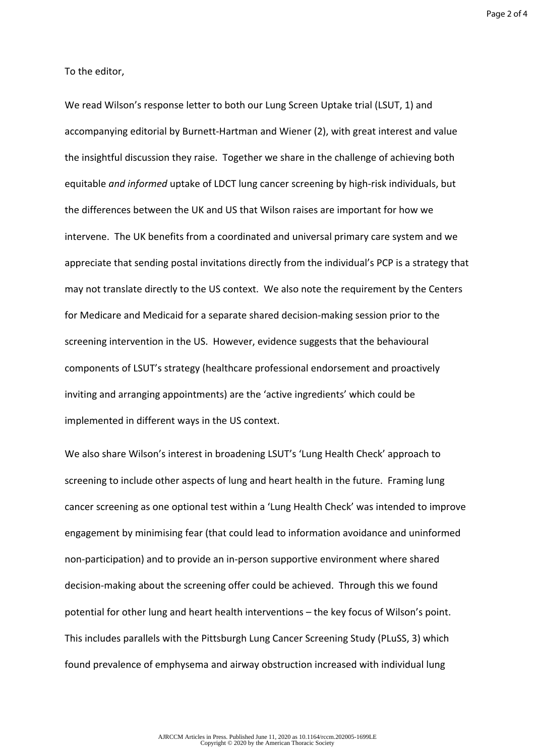Page 2 of 4

To the editor,

We read Wilson's response letter to both our Lung Screen Uptake trial (LSUT, 1) and accompanying editorial by Burnett-Hartman and Wiener (2), with great interest and value the insightful discussion they raise. Together we share in the challenge of achieving both equitable *and informed* uptake of LDCT lung cancer screening by high-risk individuals, but the differences between the UK and US that Wilson raises are important for how we intervene. The UK benefits from a coordinated and universal primary care system and we appreciate that sending postal invitations directly from the individual's PCP is a strategy that may not translate directly to the US context. We also note the requirement by the Centers for Medicare and Medicaid for a separate shared decision-making session prior to the screening intervention in the US. However, evidence suggests that the behavioural components of LSUT's strategy (healthcare professional endorsement and proactively inviting and arranging appointments) are the 'active ingredients' which could be implemented in different ways in the US context.

We also share Wilson's interest in broadening LSUT's 'Lung Health Check' approach to screening to include other aspects of lung and heart health in the future. Framing lung cancer screening as one optional test within a 'Lung Health Check' was intended to improve engagement by minimising fear (that could lead to information avoidance and uninformed non-participation) and to provide an in-person supportive environment where shared decision-making about the screening offer could be achieved. Through this we found potential for other lung and heart health interventions – the key focus of Wilson's point. This includes parallels with the Pittsburgh Lung Cancer Screening Study (PLuSS, 3) which found prevalence of emphysema and airway obstruction increased with individual lung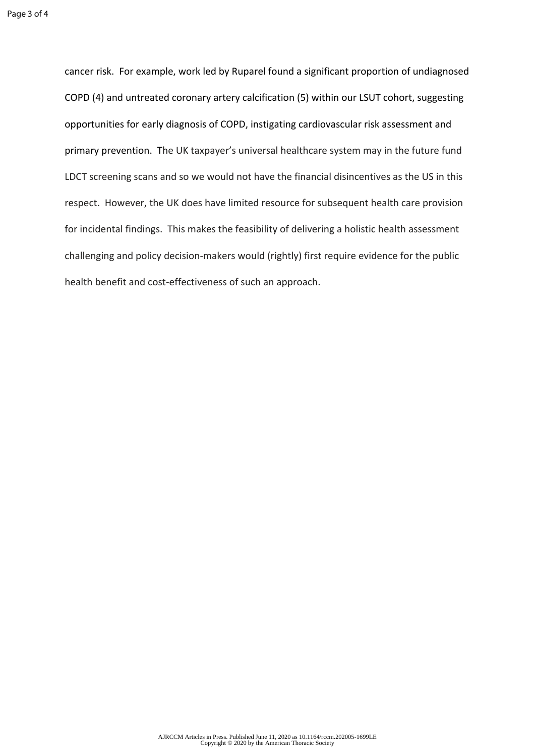cancer risk. For example, work led by Ruparel found a significant proportion of undiagnosed COPD (4) and untreated coronary artery calcification (5) within our LSUT cohort, suggesting opportunities for early diagnosis of COPD, instigating cardiovascular risk assessment and primary prevention. The UK taxpayer's universal healthcare system may in the future fund LDCT screening scans and so we would not have the financial disincentives as the US in this respect. However, the UK does have limited resource for subsequent health care provision for incidental findings. This makes the feasibility of delivering a holistic health assessment challenging and policy decision-makers would (rightly) first require evidence for the public health benefit and cost-effectiveness of such an approach.